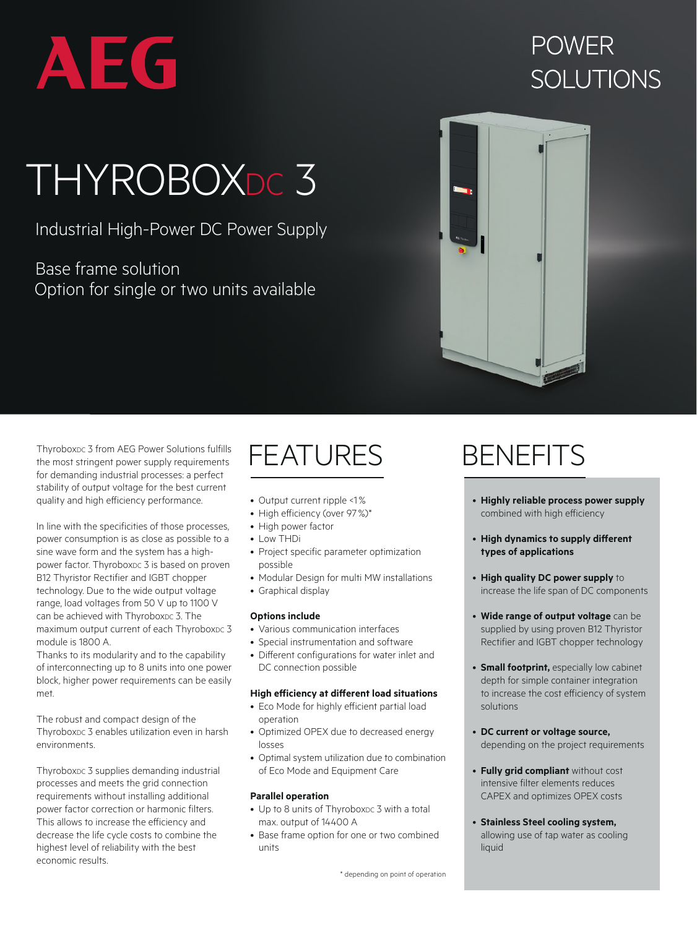

# **POWER** SOLUTIONS

# THYROBOXDC 3

### Industrial High-Power DC Power Supply

Base frame solution Option for single or two units available



ThyroboxDc 3 from AEG Power Solutions fulfills the most stringent power supply requirements for demanding industrial processes: a perfect stability of output voltage for the best current quality and high efficiency performance.

In line with the specificities of those processes, power consumption is as close as possible to a sine wave form and the system has a highpower factor. ThyroboxDc 3 is based on proven B12 Thyristor Rectifier and IGBT chopper technology. Due to the wide output voltage range, load voltages from 50 V up to 1100 V can be achieved with Thyroboxnc 3. The maximum output current of each ThyroboxDc 3 module is 1800 A.

Thanks to its modularity and to the capability of interconnecting up to 8 units into one power block, higher power requirements can be easily met.

The robust and compact design of the ThyroboxDc 3 enables utilization even in harsh environments.

Thyroboxpc 3 supplies demanding industrial processes and meets the grid connection requirements without installing additional power factor correction or harmonic filters. This allows to increase the efficiency and decrease the life cycle costs to combine the highest level of reliability with the best economic results.

# FEATURES BENEFITS

- Output current ripple <1%
- High efficiency (over 97%)\*
- High power factor
- Low THDi
- Project specific parameter optimization possible
- Modular Design for multi MW installations
- Graphical display

#### **Options include**

- Various communication interfaces
- Special instrumentation and software
- Different configurations for water inlet and DC connection possible

### **High efficiency at different load situations**

- Eco Mode for highly efficient partial load operation
- Optimized OPEX due to decreased energy losses
- Optimal system utilization due to combination of Eco Mode and Equipment Care

#### **Parallel operation**

- Up to 8 units of ThyroboxDc 3 with a total max. output of 14400 A
- Base frame option for one or two combined units

- **Highly reliable process power supply**  combined with high efficiency
- **High dynamics to supply different types of applications**
- **High quality DC power supply** to increase the life span of DC components
- **Wide range of output voltage** can be supplied by using proven B12 Thyristor Rectifier and IGBT chopper technology
- **Small footprint,** especially low cabinet depth for simple container integration to increase the cost efficiency of system solutions
- **DC current or voltage source,**  depending on the project requirements
- **Fully grid compliant** without cost intensive filter elements reduces CAPEX and optimizes OPEX costs
- **Stainless Steel cooling system,**  allowing use of tap water as cooling liquid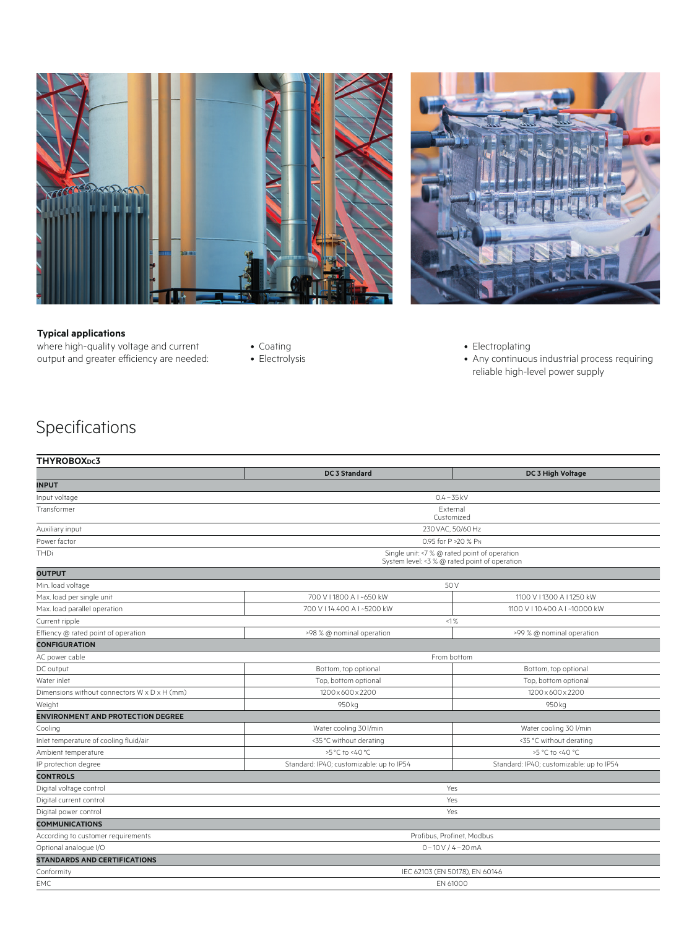



#### **Typical applications**

where high-quality voltage and current output and greater efficiency are needed:

- Coating
- Electrolysis
- Electroplating
- Any continuous industrial process requiring reliable high-level power supply

## Specifications

| THYROBOX <sub>DC</sub> 3                     |                                                                                                |                                          |  |
|----------------------------------------------|------------------------------------------------------------------------------------------------|------------------------------------------|--|
|                                              | <b>DC 3 Standard</b>                                                                           | DC 3 High Voltage                        |  |
| <b>INPUT</b>                                 |                                                                                                |                                          |  |
| Input voltage                                | $0.4 - 35$ kV                                                                                  |                                          |  |
| Transformer                                  | External<br>Customized                                                                         |                                          |  |
| Auxiliary input                              | 230 VAC, 50/60 Hz                                                                              |                                          |  |
| Power factor                                 | 0.95 for P > 20 % PN                                                                           |                                          |  |
| THDi                                         | Single unit: <7 % @ rated point of operation<br>System level: < 3 % @ rated point of operation |                                          |  |
| <b>OUTPUT</b>                                |                                                                                                |                                          |  |
| Min. load voltage                            | 50 V                                                                                           |                                          |  |
| Max. load per single unit                    | 700 V I 1800 A I ~650 kW                                                                       | 1100 V I 1300 A I 1250 kW                |  |
| Max. load parallel operation                 | 700 V I 14,400 A I ~5200 kW                                                                    | 1100 V I 10.400 A I ~10000 kW            |  |
| Current ripple                               | <1%                                                                                            |                                          |  |
| Effiency @ rated point of operation          | >98 % @ nominal operation                                                                      | >99 % @ nominal operation                |  |
| <b>CONFIGURATION</b>                         |                                                                                                |                                          |  |
| AC power cable                               | From bottom                                                                                    |                                          |  |
| DC output                                    | Bottom, top optional                                                                           | Bottom, top optional                     |  |
| Water inlet                                  | Top, bottom optional                                                                           | Top, bottom optional                     |  |
| Dimensions without connectors W x D x H (mm) | 1200 x 600 x 2200                                                                              | 1200 x 600 x 2200                        |  |
| Weight                                       | 950 kg                                                                                         | 950 kg                                   |  |
| <b>ENVIRONMENT AND PROTECTION DEGREE</b>     |                                                                                                |                                          |  |
| Cooling                                      | Water cooling 30 l/min                                                                         | Water cooling 30 l/min                   |  |
| Inlet temperature of cooling fluid/air       | <35 °C without derating                                                                        | <35 °C without derating                  |  |
| Ambient temperature                          | >5 °C to <40 °C                                                                                | >5 °C to <40 °C                          |  |
| IP protection degree                         | Standard: IP40; customizable: up to IP54                                                       | Standard: IP40; customizable: up to IP54 |  |
| <b>CONTROLS</b>                              |                                                                                                |                                          |  |
| Digital voltage control                      | Yes                                                                                            |                                          |  |
| Digital current control                      | Yes                                                                                            |                                          |  |
| Digital power control                        | Yes                                                                                            |                                          |  |
| <b>COMMUNICATIONS</b>                        |                                                                                                |                                          |  |
| According to customer requirements           | Profibus, Profinet, Modbus                                                                     |                                          |  |
| Optional analogue I/O                        | $0 - 10V / 4 - 20mA$                                                                           |                                          |  |
| <b>STANDARDS AND CERTIFICATIONS</b>          |                                                                                                |                                          |  |
| Conformity                                   | IEC 62103 (EN 50178), EN 60146                                                                 |                                          |  |
| <b>EMC</b>                                   | EN 61000                                                                                       |                                          |  |
|                                              |                                                                                                |                                          |  |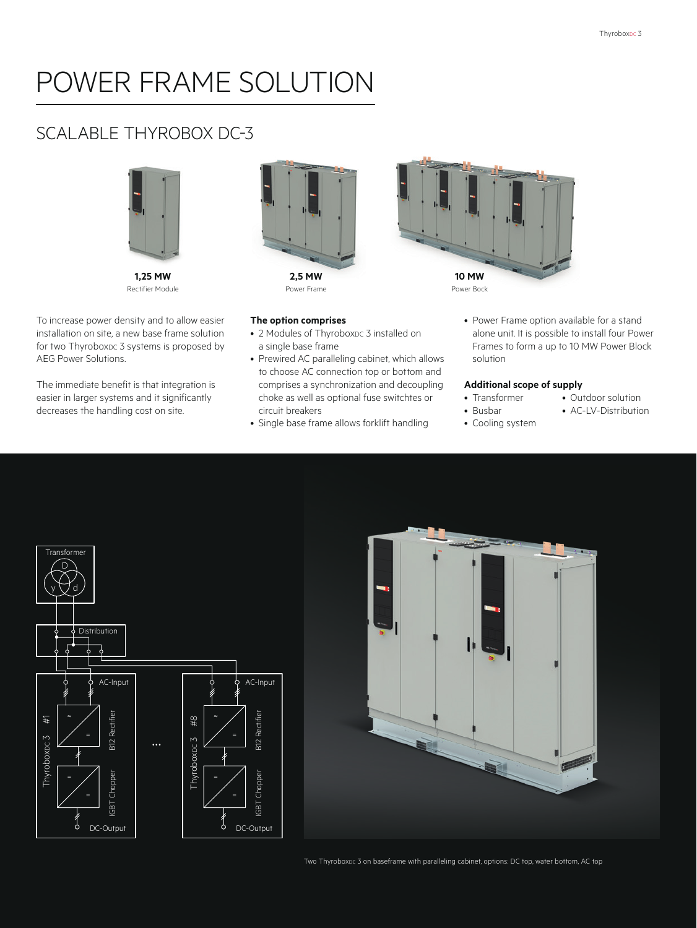# POWER FRAME SOLUTION

### SCALABLE THYROBOX DC-3



Rectifier Module

To increase power density and to allow easier installation on site, a new base frame solution for two ThyroboxDc 3 systems is proposed by AEG Power Solutions.

The immediate benefit is that integration is easier in larger systems and it significantly decreases the handling cost on site.



Power Frame



**The option comprises**

- 2 Modules of ThyroboxDc 3 installed on a single base frame
- Prewired AC paralleling cabinet, which allows to choose AC connection top or bottom and comprises a synchronization and decoupling choke as well as optional fuse switchtes or circuit breakers
- Single base frame allows forklift handling
- Power Frame option available for a stand alone unit. It is possible to install four Power Frames to form a up to 10 MW Power Block solution

#### **Additional scope of supply**

- Transformer • Busbar
	- AC-LV-Distribution
- Cooling system
- Outdoor solution
- 





Two ThyroboxDc 3 on baseframe with paralleling cabinet, options: DC top, water bottom, AC top